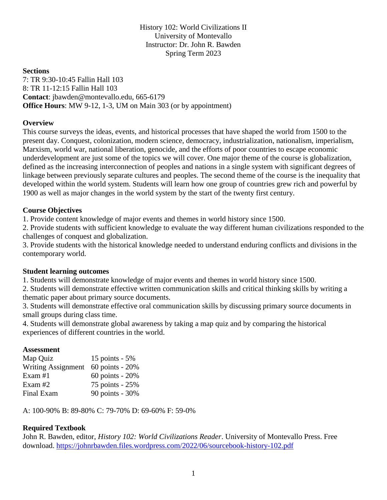History 102: World Civilizations II University of Montevallo Instructor: Dr. John R. Bawden Spring Term 2023

#### **Sections**

7: TR 9:30-10:45 Fallin Hall 103 8: TR 11-12:15 Fallin Hall 103 **Contact**: [jbawden@montevallo.edu,](mailto:jbawden@montevallo.edu) 665-6179 **Office Hours**: MW 9-12, 1-3, UM on Main 303 (or by appointment)

#### **Overview**

This course surveys the ideas, events, and historical processes that have shaped the world from 1500 to the present day. Conquest, colonization, modern science, democracy, industrialization, nationalism, imperialism, Marxism, world war, national liberation, genocide, and the efforts of poor countries to escape economic underdevelopment are just some of the topics we will cover. One major theme of the course is globalization, defined as the increasing interconnection of peoples and nations in a single system with significant degrees of linkage between previously separate cultures and peoples. The second theme of the course is the inequality that developed within the world system. Students will learn how one group of countries grew rich and powerful by 1900 as well as major changes in the world system by the start of the twenty first century.

#### **Course Objectives**

1. Provide content knowledge of major events and themes in world history since 1500.

2. Provide students with sufficient knowledge to evaluate the way different human civilizations responded to the challenges of conquest and globalization.

3. Provide students with the historical knowledge needed to understand enduring conflicts and divisions in the contemporary world.

#### **Student learning outcomes**

1. Students will demonstrate knowledge of major events and themes in world history since 1500.

2. Students will demonstrate effective written communication skills and critical thinking skills by writing a thematic paper about primary source documents.

3. Students will demonstrate effective oral communication skills by discussing primary source documents in small groups during class time.

4. Students will demonstrate global awareness by taking a map quiz and by comparing the historical experiences of different countries in the world.

#### **Assessment**

| Map Quiz                  | 15 points - 5%  |
|---------------------------|-----------------|
| <b>Writing Assignment</b> | 60 points - 20% |
| Exam $#1$                 | 60 points - 20% |
| Exam $#2$                 | 75 points - 25% |
| Final Exam                | 90 points - 30% |

A: 100-90% B: 89-80% C: 79-70% D: 69-60% F: 59-0%

#### **Required Textbook**

John R. Bawden, editor, *History 102: World Civilizations Reader*. University of Montevallo Press. Free download. <https://johnrbawden.files.wordpress.com/2022/06/sourcebook-history-102.pdf>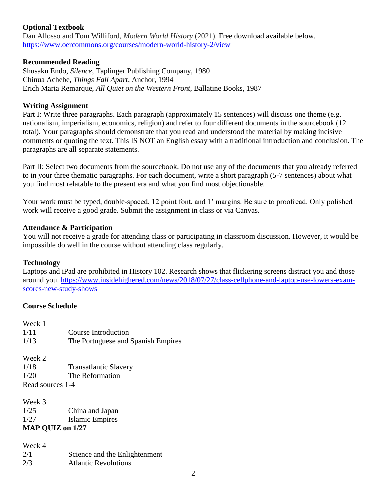# **Optional Textbook**

Dan Allosso and Tom Williford, *Modern World History* (2021). Free download available below. <https://www.oercommons.org/courses/modern-world-history-2/view>

# **Recommended Reading**

Shusaku Endo, *Silence*, Taplinger Publishing Company, 1980 Chinua Achebe, *Things Fall Apart*, Anchor, 1994 Erich Maria Remarque, *All Quiet on the Western Front*, Ballatine Books, 1987

### **Writing Assignment**

Part I: Write three paragraphs. Each paragraph (approximately 15 sentences) will discuss one theme (e.g. nationalism, imperialism, economics, religion) and refer to four different documents in the sourcebook (12 total). Your paragraphs should demonstrate that you read and understood the material by making incisive comments or quoting the text. This IS NOT an English essay with a traditional introduction and conclusion. The paragraphs are all separate statements.

Part II: Select two documents from the sourcebook. Do not use any of the documents that you already referred to in your three thematic paragraphs. For each document, write a short paragraph (5-7 sentences) about what you find most relatable to the present era and what you find most objectionable.

Your work must be typed, double-spaced, 12 point font, and 1' margins. Be sure to proofread. Only polished work will receive a good grade. Submit the assignment in class or via Canvas.

### **Attendance & Participation**

You will not receive a grade for attending class or participating in classroom discussion. However, it would be impossible do well in the course without attending class regularly.

# **Technology**

Laptops and iPad are prohibited in History 102. Research shows that flickering screens distract you and those around you. [https://www.insidehighered.com/news/2018/07/27/class-cellphone-and-laptop-use-lowers-exam](https://www.insidehighered.com/news/2018/07/27/class-cellphone-and-laptop-use-lowers-exam-scores-new-study-shows)[scores-new-study-shows](https://www.insidehighered.com/news/2018/07/27/class-cellphone-and-laptop-use-lowers-exam-scores-new-study-shows)

### **Course Schedule**

| Week 1<br>1/11   | Course Introduction                |  |
|------------------|------------------------------------|--|
|                  |                                    |  |
| 1/13             | The Portuguese and Spanish Empires |  |
| Week 2           |                                    |  |
| 1/18             | <b>Transatlantic Slavery</b>       |  |
| 1/20             | The Reformation                    |  |
| Read sources 1-4 |                                    |  |
|                  |                                    |  |

Week 3 1/25 China and Japan 1/27 Islamic Empires **MAP QUIZ on 1/27**

Week 4 2/1 Science and the Enlightenment 2/3 Atlantic Revolutions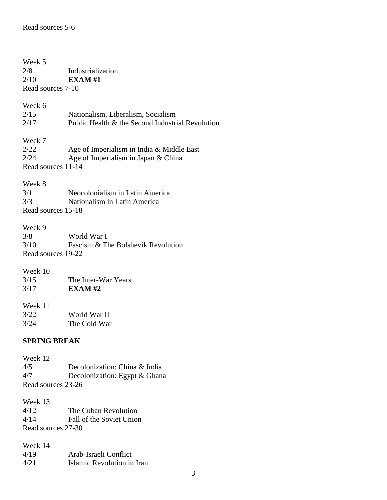Week 5 2/8 Industrialization 2/10 **EXAM #1** Read sources 7-10 Week 6 2/15 Nationalism, Liberalism, Socialism 2/17 Public Health & the Second Industrial Revolution Week 7  $2/22$  Age of Imperialism in India & Middle East

| 2122               | $A$ ge of imperialism in mula $\alpha$ middle East |
|--------------------|----------------------------------------------------|
| 2/24               | Age of Imperialism in Japan & China                |
| Read sources 11-14 |                                                    |

#### Week 8

| 3/1                | Neocolonialism in Latin America |
|--------------------|---------------------------------|
| 3/3                | Nationalism in Latin America    |
| Read sources 15-18 |                                 |

#### Week 9

| 3/8                | World War I                        |
|--------------------|------------------------------------|
| 3/10               | Fascism & The Bolshevik Revolution |
| Read sources 19-22 |                                    |

#### Week 10

| 3/15 | The Inter-War Years |
|------|---------------------|
| 3/17 | $EXAM$ #2           |

# Week 11

| .    |              |
|------|--------------|
| 3/22 | World War II |
| 3/24 | The Cold War |

# **SPRING BREAK**

Week 12 4/5 Decolonization: China & India 4/7 Decolonization: Egypt & Ghana Read sources 23-26

Week 13 4/12 The Cuban Revolution 4/14 Fall of the Soviet Union Read sources 27-30

| Week 14 |                            |
|---------|----------------------------|
| 4/19    | Arab-Israeli Conflict      |
| 4/21    | Islamic Revolution in Iran |